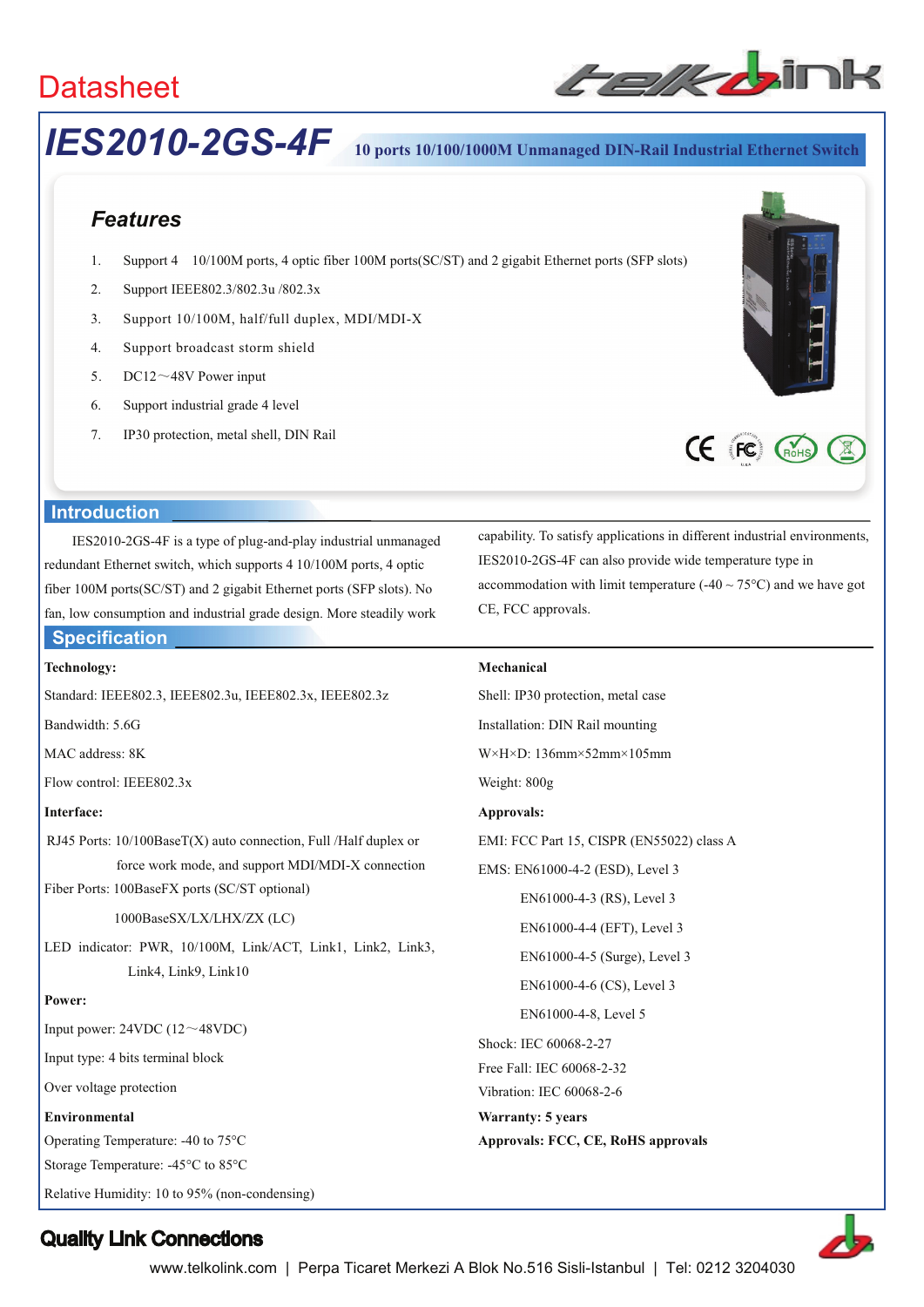

# *IES2010-2GS-4F* **10 ports 10/100/1000M Unmanaged DIN-Rail Industrial Ethernet Switch**

# *Features*

- 1. Support 4 10/100M ports, 4 optic fiber 100M ports(SC/ST) and 2 gigabit Ethernet ports (SFP slots)
- 2. Support IEEE802.3/802.3u /802.3x
- 3. Support 10/100M, half/full duplex, MDI/MDI-X
- 4. Support broadcast storm shield
- 5. DC12 $\sim$ 48V Power input
- 6. Support industrial grade 4 level
- 7. IP30 protection, metal shell, DIN Rail





### **Introduction**

IES2010-2GS-4F is a type of plug-and-play industrial unmanaged redundant Ethernet switch, which supports 4 10/100M ports, 4 optic fiber 100M ports(SC/ST) and 2 gigabit Ethernet ports (SFP slots). No fan, low consumption and industrial grade design. More steadily work **IES2010**<br> **IES2010**<br> **Features**<br>
1. Support 1<br>
2. Support 1<br>
3. Support 1<br>
4. Support 1<br>
5. DC12~4<br>
6. Support 1<br>
7. IP30 prote<br> **Introduction**<br>
IES2010-2GS-4F is<br>
redundant Ethernet switcher<br>
fiber 100M ports(SC/ST<br>
fan,

### **Specification**

#### **Technology:**

Standard: IEEE802.3, IEEE802.3u, IEEE802.3x, IEEE802.3z

Bandwidth: 5.6G

MAC address: 8K

Flow control: IEEE802.3x

### **Interface:**

RJ45 Ports: 10/100BaseT(X) auto connection, Full /Half duplex or force work mode, and support MDI/MDI-X connection

Fiber Ports: 100BaseFX ports (SC/ST optional)

#### 1000BaseSX/LX/LHX/ZX (LC)

LED indicator: PWR, 10/100M, Link/ACT, Link1, Link2, Link3, Link4, Link9, Link10

#### **Power:**

Input power:  $24VDC (12 \sim 48VDC)$ 

Input type: 4 bits terminal block

Over voltage protection

#### **Environmental**

Operating Temperature: -40 to 75°C

Storage Temperature: -45°C to 85°C

Relative Humidity: 10 to 95% (non-condensing)

capability. To satisfy applications in different industrial environments, IES2010-2GS-4F can also provide wide temperature type in accommodation with limit temperature  $(-40 \sim 75^{\circ}C)$  and we have got CE, FCC approvals.

#### **Mechanical**

Shell: IP30 protection, metal case Installation: DIN Rail mounting W×H×D: 136mm×52mm×105mm Weight: 800g **Approvals:**  EMI: FCC Part 15, CISPR (EN55022) class A EMS: EN61000-4-2 (ESD), Level 3 EN61000-4-3 (RS), Level 3 EN61000-4-4 (EFT), Level 3 EN61000-4-5 (Surge), Level 3 EN61000-4-6 (CS), Level 3 EN61000-4-8, Level 5

Shock: IEC 60068-2-27

Free Fall: IEC 60068-2-32

Vibration: IEC 60068-2-6 **Warranty: 5 years** 

**Approvals: FCC, CE, RoHS approvals** 



# Quality Link Connections